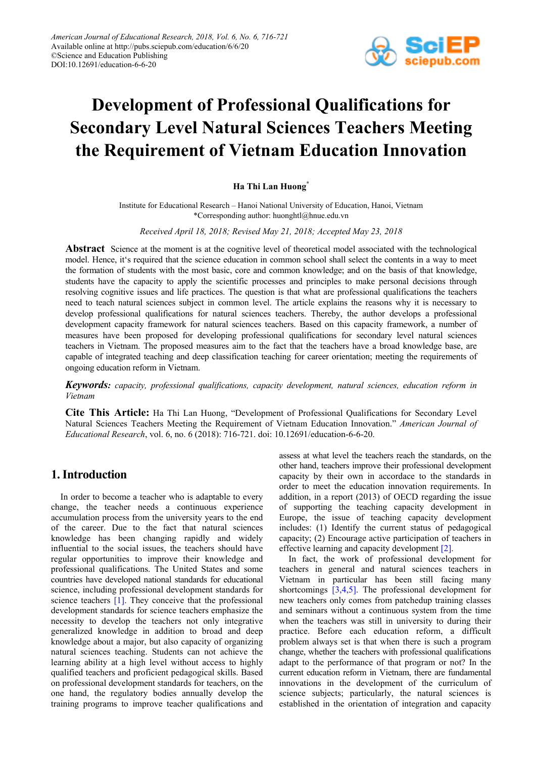

# **Development of Professional Qualifications for Secondary Level Natural Sciences Teachers Meeting the Requirement of Vietnam Education Innovation**

# **Ha Thi Lan Huong\***

Institute for Educational Research – Hanoi National University of Education, Hanoi, Vietnam \*Corresponding author: huonghtl@hnue.edu.vn

*Received April 18, 2018; Revised May 21, 2018; Accepted May 23, 2018*

**Abstract** Science at the moment is at the cognitive level of theoretical model associated with the technological model. Hence, it's required that the science education in common school shall select the contents in a way to meet the formation of students with the most basic, core and common knowledge; and on the basis of that knowledge, students have the capacity to apply the scientific processes and principles to make personal decisions through resolving cognitive issues and life practices. The question is that what are professional qualifications the teachers need to teach natural sciences subject in common level. The article explains the reasons why it is necessary to develop professional qualifications for natural sciences teachers. Thereby, the author develops a professional development capacity framework for natural sciences teachers. Based on this capacity framework, a number of measures have been proposed for developing professional qualifications for secondary level natural sciences teachers in Vietnam. The proposed measures aim to the fact that the teachers have a broad knowledge base, are capable of integrated teaching and deep classification teaching for career orientation; meeting the requirements of ongoing education reform in Vietnam.

*Keywords: capacity, professional qualifications, capacity development, natural sciences, education reform in Vietnam*

**Cite This Article:** Ha Thi Lan Huong, "Development of Professional Qualifications for Secondary Level Natural Sciences Teachers Meeting the Requirement of Vietnam Education Innovation." *American Journal of Educational Research*, vol. 6, no. 6 (2018): 716-721. doi: 10.12691/education-6-6-20.

# **1. Introduction**

In order to become a teacher who is adaptable to every change, the teacher needs a continuous experience accumulation process from the university years to the end of the career. Due to the fact that natural sciences knowledge has been changing rapidly and widely influential to the social issues, the teachers should have regular opportunities to improve their knowledge and professional qualifications. The United States and some countries have developed national standards for educational science, including professional development standards for science teachers [\[1\].](#page-5-0) They conceive that the professional development standards for science teachers emphasize the necessity to develop the teachers not only integrative generalized knowledge in addition to broad and deep knowledge about a major, but also capacity of organizing natural sciences teaching. Students can not achieve the learning ability at a high level without access to highly qualified teachers and proficient pedagogical skills. Based on professional development standards for teachers, on the one hand, the regulatory bodies annually develop the training programs to improve teacher qualifications and assess at what level the teachers reach the standards, on the other hand, teachers improve their professional development capacity by their own in accordace to the standards in order to meet the education innovation requirements. In addition, in a report (2013) of OECD regarding the issue of supporting the teaching capacity development in Europe, the issue of teaching capacity development includes: (1) Identify the current status of pedagogical capacity; (2) Encourage active participation of teachers in effective learning and capacity development [\[2\].](#page-5-1)

In fact, the work of professional development for teachers in general and natural sciences teachers in Vietnam in particular has been still facing many shortcomings [\[3,4,5\].](#page-5-2) The professional development for new teachers only comes from patchedup training classes and seminars without a continuous system from the time when the teachers was still in university to during their practice. Before each education reform, a difficult problem always set is that when there is such a program change, whether the teachers with professional qualifications adapt to the performance of that program or not? In the current education reform in Vietnam, there are fundamental innovations in the development of the curriculum of science subjects; particularly, the natural sciences is established in the orientation of integration and capacity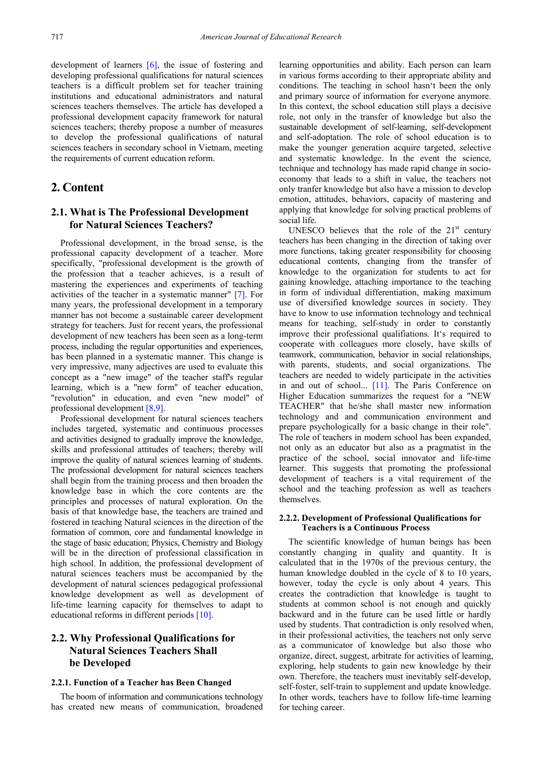development of learners [\[6\],](#page-5-3) the issue of fostering and developing professional qualifications for natural sciences teachers is a difficult problem set for teacher training institutions and educational administrators and natural sciences teachers themselves. The article has developed a professional development capacity framework for natural sciences teachers; thereby propose a number of measures to develop the professional qualifications of natural sciences teachers in secondary school in Vietnam, meeting the requirements of current education reform.

# **2. Content**

# **2.1. What is The Professional Development for Natural Sciences Teachers?**

Professional development, in the broad sense, is the professional capacity development of a teacher. More specifically, "professional development is the growth of the profession that a teacher achieves, is a result of mastering the experiences and experiments of teaching activities of the teacher in a systematic manner" [\[7\].](#page-5-4) For many years, the professional development in a temporary manner has not become a sustainable career development strategy for teachers. Just for recent years, the professional development of new teachers has been seen as a long-term process, including the regular opportunities and experiences, has been planned in a systematic manner. This change is very impressive, many adjectives are used to evaluate this concept as a "new image" of the teacher staff's regular learning, which is a "new form" of teacher education, "revolution" in education, and even "new model" of professional development [\[8,9\].](#page-5-5) 

Professional development for natural sciences teachers includes targeted, systematic and continuous processes and activities designed to gradually improve the knowledge, skills and professional attitudes of teachers; thereby will improve the quality of natural sciences learning of students. The professional development for natural sciences teachers shall begin from the training process and then broaden the knowledge base in which the core contents are the principles and processes of natural exploration. On the basis of that knowledge base, the teachers are trained and fostered in teaching Natural sciences in the direction of the formation of common, core and fundamental knowledge in the stage of basic education; Physics, Chemistry and Biology will be in the direction of professional classification in high school. In addition, the professional development of natural sciences teachers must be accompanied by the development of natural sciences pedagogical professional knowledge development as well as development of life-time learning capacity for themselves to adapt to educational reforms in different periods [\[10\].](#page-5-6)

# **2.2. Why Professional Qualifications for Natural Sciences Teachers Shall be Developed**

## **2.2.1. Function of a Teacher has Been Changed**

The boom of information and communications technology has created new means of communication, broadened learning opportunities and ability. Each person can learn in various forms according to their appropriate ability and conditions. The teaching in school hasn't been the only and primary source of information for everyone anymore. In this context, the school education still plays a decisive role, not only in the transfer of knowledge but also the sustainable development of self-learning, self-development and self-adoptation. The role of school education is to make the younger generation acquire targeted, selective and systematic knowledge. In the event the science, technique and technology has made rapid change in socioeconomy that leads to a shift in value, the teachers not only tranfer knowledge but also have a mission to develop emotion, attitudes, behaviors, capacity of mastering and applying that knowledge for solving practical problems of social life.

UNESCO believes that the role of the  $21<sup>st</sup>$  century teachers has been changing in the direction of taking over more functions, taking greater responsibility for choosing educational contents, changing from the transfer of knowledge to the organization for students to act for gaining knowledge, attaching importance to the teaching in form of individual differentiation, making maximum use of diversified knowledge sources in society. They have to know to use information technology and technical means for teaching, self-study in order to constantly improve their professional qualifiations. It's required to cooperate with colleagues more closely, have skills of teamwork, communication, behavior in social relationships, with parents, students, and social organizations. The teachers are needed to widely participate in the activities in and out of school... [\[11\].](#page-5-7) The Paris Conference on Higher Education summarizes the request for a "NEW TEACHER" that he/she shall master new information technology and and communication environment and prepare psychologically for a basic change in their role". The role of teachers in modern school has been expanded, not only as an educator but also as a pragmatist in the practice of the school, social innovator and life-time learner. This suggests that promoting the professional development of teachers is a vital requirement of the school and the teaching profession as well as teachers themselves.

## **2.2.2. Development of Professional Qualifications for Teachers is a Continuous Process**

The scientific knowledge of human beings has been constantly changing in quality and quantity. It is calculated that in the 1970s of the previous century, the human knowledge doubled in the cycle of 8 to 10 years, however, today the cycle is only about 4 years. This creates the contradiction that knowledge is taught to students at common school is not enough and quickly backward and in the future can be used little or hardly used by students. That contradiction is only resolved when, in their professional activities, the teachers not only serve as a communicator of knowledge but also those who organize, direct, suggest, arbitrate for activities of learning, exploring, help students to gain new knowledge by their own. Therefore, the teachers must inevitably self-develop, self-foster, self-train to supplement and update knowledge. In other words, teachers have to follow life-time learning for teching career.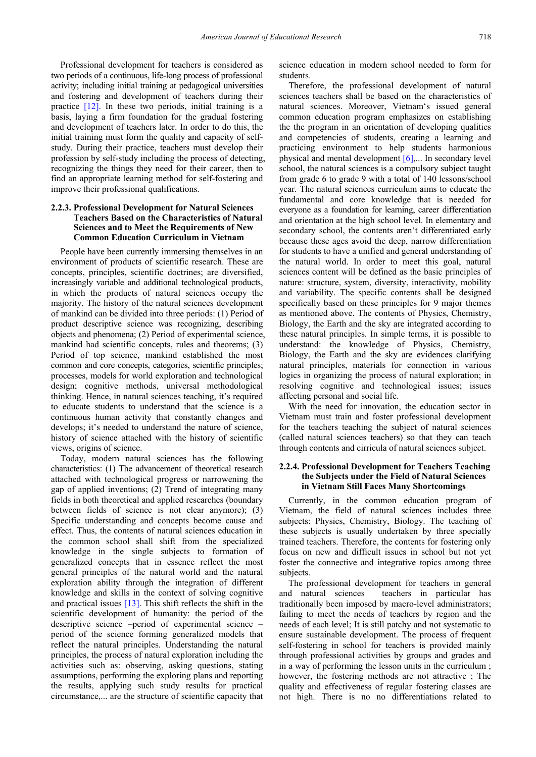Professional development for teachers is considered as two periods of a continuous, life-long process of professional activity; including initial training at pedagogical universities and fostering and development of teachers during their practice [\[12\].](#page-5-8) In these two periods, initial training is a basis, laying a firm foundation for the gradual fostering and development of teachers later. In order to do this, the initial training must form the quality and capacity of selfstudy. During their practice, teachers must develop their profession by self-study including the process of detecting, recognizing the things they need for their career, then to find an appropriate learning method for self-fostering and improve their professional qualifications.

## **2.2.3. Professional Development for Natural Sciences Teachers Based on the Characteristics of Natural Sciences and to Meet the Requirements of New Common Education Curriculum in Vietnam**

People have been currently immersing themselves in an environment of products of scientific research. These are concepts, principles, scientific doctrines; are diversified, increasingly variable and additional technological products, in which the products of natural sciences occupy the majority. The history of the natural sciences development of mankind can be divided into three periods: (1) Period of product descriptive science was recognizing, describing objects and phenomena; (2) Period of experimental science, mankind had scientific concepts, rules and theorems; (3) Period of top science, mankind established the most common and core concepts, categories, scientific principles; processes, models for world exploration and technological design; cognitive methods, universal methodological thinking. Hence, in natural sciences teaching, it's required to educate students to understand that the science is a continuous human activity that constantly changes and develops; it's needed to understand the nature of science, history of science attached with the history of scientific views, origins of science.

Today, modern natural sciences has the following characteristics: (1) The advancement of theoretical research attached with technological progress or narrowening the gap of applied inventions; (2) Trend of integrating many fields in both theoretical and applied researches (boundary between fields of science is not clear anymore); (3) Specific understanding and concepts become cause and effect. Thus, the contents of natural sciences education in the common school shall shift from the specialized knowledge in the single subjects to formation of generalized concepts that in essence reflect the most general principles of the natural world and the natural exploration ability through the integration of different knowledge and skills in the context of solving cognitive and practical issues  $[13]$ . This shift reflects the shift in the scientific development of humanity: the period of the descriptive science –period of experimental science – period of the science forming generalized models that reflect the natural principles. Understanding the natural principles, the process of natural exploration including the activities such as: observing, asking questions, stating assumptions, performing the exploring plans and reporting the results, applying such study results for practical circumstance,... are the structure of scientific capacity that science education in modern school needed to form for students.

Therefore, the professional development of natural sciences teachers shall be based on the characteristics of natural sciences. Moreover, Vietnam's issued general common education program emphasizes on establishing the the program in an orientation of developing qualities and competencies of students, creating a learning and practicing environment to help students harmonious physical and mental development [\[6\],.](#page-5-3).. In secondary level school, the natural sciences is a compulsory subject taught from grade 6 to grade 9 with a total of 140 lessons/school year. The natural sciences curriculum aims to educate the fundamental and core knowledge that is needed for everyone as a foundation for learning, career differentiation and orientation at the high school level. In elementary and secondary school, the contents aren't differentiated early because these ages avoid the deep, narrow differentiation for students to have a unified and general understanding of the natural world. In order to meet this goal, natural sciences content will be defined as the basic principles of nature: structure, system, diversity, interactivity, mobility and variability. The specific contents shall be designed specifically based on these principles for 9 major themes as mentioned above. The contents of Physics, Chemistry, Biology, the Earth and the sky are integrated according to these natural principles. In simple terms, it is possible to understand: the knowledge of Physics, Chemistry, Biology, the Earth and the sky are evidences clarifying natural principles, materials for connection in various logics in organizing the process of natural exploration; in resolving cognitive and technological issues; issues affecting personal and social life.

With the need for innovation, the education sector in Vietnam must train and foster professional development for the teachers teaching the subject of natural sciences (called natural sciences teachers) so that they can teach through contents and cirricula of natural sciences subject.

## **2.2.4. Professional Development for Teachers Teaching the Subjects under the Field of Natural Sciences in Vietnam Still Faces Many Shortcomings**

Currently, in the common education program of Vietnam, the field of natural sciences includes three subjects: Physics, Chemistry, Biology. The teaching of these subjects is usually undertaken by three specially trained teachers. Therefore, the contents for fostering only focus on new and difficult issues in school but not yet foster the connective and integrative topics among three subjects.

The professional development for teachers in general and natural sciences teachers in particular has traditionally been imposed by macro-level administrators; failing to meet the needs of teachers by region and the needs of each level; It is still patchy and not systematic to ensure sustainable development. The process of frequent self-fostering in school for teachers is provided mainly through professional activities by groups and grades and in a way of performing the lesson units in the curriculum ; however, the fostering methods are not attractive ; The quality and effectiveness of regular fostering classes are not high. There is no no differentiations related to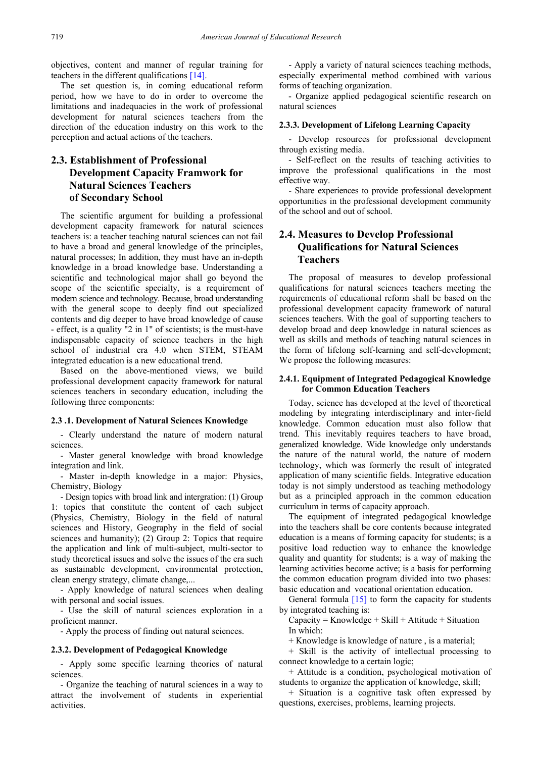objectives, content and manner of regular training for teachers in the different qualifications [\[14\].](#page-5-10)

The set question is, in coming educational reform period, how we have to do in order to overcome the limitations and inadequacies in the work of professional development for natural sciences teachers from the direction of the education industry on this work to the perception and actual actions of the teachers.

# **2.3. Establishment of Professional Development Capacity Framwork for Natural Sciences Teachers of Secondary School**

The scientific argument for building a professional development capacity framework for natural sciences teachers is: a teacher teaching natural sciences can not fail to have a broad and general knowledge of the principles, natural processes; In addition, they must have an in-depth knowledge in a broad knowledge base. Understanding a scientific and technological major shall go beyond the scope of the scientific specialty, is a requirement of modern science and technology. Because, broad understanding with the general scope to deeply find out specialized contents and dig deeper to have broad knowledge of cause - effect, is a quality "2 in 1" of scientists; is the must-have indispensable capacity of science teachers in the high school of industrial era 4.0 when STEM, STEAM integrated education is a new educational trend.

Based on the above-mentioned views, we build professional development capacity framework for natural sciences teachers in secondary education, including the following three components:

#### **2.3 .1. Development of Natural Sciences Knowledge**

- Clearly understand the nature of modern natural sciences.

- Master general knowledge with broad knowledge integration and link.

- Master in-depth knowledge in a major: Physics, Chemistry, Biology

- Design topics with broad link and intergration: (1) Group 1: topics that constitute the content of each subject (Physics, Chemistry, Biology in the field of natural sciences and History, Geography in the field of social sciences and humanity); (2) Group 2: Topics that require the application and link of multi-subject, multi-sector to study theoretical issues and solve the issues of the era such as sustainable development, environmental protection, clean energy strategy, climate change,...

- Apply knowledge of natural sciences when dealing with personal and social issues.

- Use the skill of natural sciences exploration in a proficient manner.

- Apply the process of finding out natural sciences.

#### **2.3.2. Development of Pedagogical Knowledge**

- Apply some specific learning theories of natural sciences.

- Organize the teaching of natural sciences in a way to attract the involvement of students in experiential activities.

- Apply a variety of natural sciences teaching methods, especially experimental method combined with various forms of teaching organization.

- Organize applied pedagogical scientific research on natural sciences

## **2.3.3. Development of Lifelong Learning Capacity**

- Develop resources for professional development through existing media.

- Self-reflect on the results of teaching activities to improve the professional qualifications in the most effective way.

- Share experiences to provide professional development opportunities in the professional development community of the school and out of school.

# **2.4. Measures to Develop Professional Qualifications for Natural Sciences Teachers**

The proposal of measures to develop professional qualifications for natural sciences teachers meeting the requirements of educational reform shall be based on the professional development capacity framework of natural sciences teachers. With the goal of supporting teachers to develop broad and deep knowledge in natural sciences as well as skills and methods of teaching natural sciences in the form of lifelong self-learning and self-development; We propose the following measures:

## **2.4.1. Equipment of Integrated Pedagogical Knowledge for Common Education Teachers**

Today, science has developed at the level of theoretical modeling by integrating interdisciplinary and inter-field knowledge. Common education must also follow that trend. This inevitably requires teachers to have broad, generalized knowledge. Wide knowledge only understands the nature of the natural world, the nature of modern technology, which was formerly the result of integrated application of many scientific fields. Integrative education today is not simply understood as teaching methodology but as a principled approach in the common education curriculum in terms of capacity approach.

The equipment of integrated pedagogical knowledge into the teachers shall be core contents because integrated education is a means of forming capacity for students; is a positive load reduction way to enhance the knowledge quality and quantity for students; is a way of making the learning activities become active; is a basis for performing the common education program divided into two phases: basic education and vocational orientation education.

General formula  $[15]$  to form the capacity for students by integrated teaching is:

 $Capacity = Knowledge + Skill + Attitude + Situation$ In which:

+ Knowledge is knowledge of nature , is a material;

+ Skill is the activity of intellectual processing to connect knowledge to a certain logic;

+ Attitude is a condition, psychological motivation of students to organize the application of knowledge, skill;

+ Situation is a cognitive task often expressed by questions, exercises, problems, learning projects.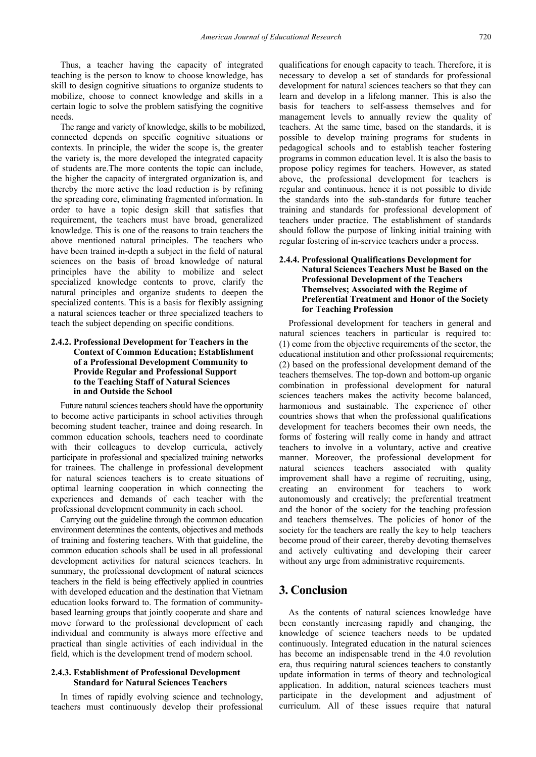Thus, a teacher having the capacity of integrated teaching is the person to know to choose knowledge, has skill to design cognitive situations to organize students to mobilize, choose to connect knowledge and skills in a certain logic to solve the problem satisfying the cognitive needs.

The range and variety of knowledge, skills to be mobilized, connected depends on specific cognitive situations or contexts. In principle, the wider the scope is, the greater the variety is, the more developed the integrated capacity of students are.The more contents the topic can include, the higher the capacity of intergrated organization is, and thereby the more active the load reduction is by refining the spreading core, eliminating fragmented information. In order to have a topic design skill that satisfies that requirement, the teachers must have broad, generalized knowledge. This is one of the reasons to train teachers the above mentioned natural principles. The teachers who have been trained in-depth a subject in the field of natural sciences on the basis of broad knowledge of natural principles have the ability to mobilize and select specialized knowledge contents to prove, clarify the natural principles and organize students to deepen the specialized contents. This is a basis for flexibly assigning a natural sciences teacher or three specialized teachers to teach the subject depending on specific conditions.

## **2.4.2. Professional Development for Teachers in the Context of Common Education; Establishment of a Professional Development Community to Provide Regular and Professional Support to the Teaching Staff of Natural Sciences in and Outside the School**

Future natural sciences teachers should have the opportunity to become active participants in school activities through becoming student teacher, trainee and doing research. In common education schools, teachers need to coordinate with their colleagues to develop curricula, actively participate in professional and specialized training networks for trainees. The challenge in professional development for natural sciences teachers is to create situations of optimal learning cooperation in which connecting the experiences and demands of each teacher with the professional development community in each school.

Carrying out the guideline through the common education environment determines the contents, objectives and methods of training and fostering teachers. With that guideline, the common education schools shall be used in all professional development activities for natural sciences teachers. In summary, the professional development of natural sciences teachers in the field is being effectively applied in countries with developed education and the destination that Vietnam education looks forward to. The formation of communitybased learning groups that jointly cooperate and share and move forward to the professional development of each individual and community is always more effective and practical than single activities of each individual in the field, which is the development trend of modern school.

## **2.4.3. Establishment of Professional Development Standard for Natural Sciences Teachers**

In times of rapidly evolving science and technology, teachers must continuously develop their professional qualifications for enough capacity to teach. Therefore, it is necessary to develop a set of standards for professional development for natural sciences teachers so that they can learn and develop in a lifelong manner. This is also the basis for teachers to self-assess themselves and for management levels to annually review the quality of teachers. At the same time, based on the standards, it is possible to develop training programs for students in pedagogical schools and to establish teacher fostering programs in common education level. It is also the basis to propose policy regimes for teachers. However, as stated above, the professional development for teachers is regular and continuous, hence it is not possible to divide the standards into the sub-standards for future teacher training and standards for professional development of teachers under practice. The establishment of standards should follow the purpose of linking initial training with regular fostering of in-service teachers under a process.

## **2.4.4. Professional Qualifications Development for Natural Sciences Teachers Must be Based on the Professional Development of the Teachers Themselves; Associated with the Regime of Preferential Treatment and Honor of the Society for Teaching Profession**

Professional development for teachers in general and natural sciences teachers in particular is required to: (1) come from the objective requirements of the sector, the educational institution and other professional requirements; (2) based on the professional development demand of the teachers themselves. The top-down and bottom-up organic combination in professional development for natural sciences teachers makes the activity become balanced, harmonious and sustainable. The experience of other countries shows that when the professional qualifications development for teachers becomes their own needs, the forms of fostering will really come in handy and attract teachers to involve in a voluntary, active and creative manner. Moreover, the professional development for natural sciences teachers associated with quality improvement shall have a regime of recruiting, using, creating an environment for teachers to work autonomously and creatively; the preferential treatment and the honor of the society for the teaching profession and teachers themselves. The policies of honor of the society for the teachers are really the key to help teachers become proud of their career, thereby devoting themselves and actively cultivating and developing their career without any urge from administrative requirements.

# **3. Conclusion**

As the contents of natural sciences knowledge have been constantly increasing rapidly and changing, the knowledge of science teachers needs to be updated continuously. Integrated education in the natural sciences has become an indispensable trend in the 4.0 revolution era, thus requiring natural sciences teachers to constantly update information in terms of theory and technological application. In addition, natural sciences teachers must participate in the development and adjustment of curriculum. All of these issues require that natural